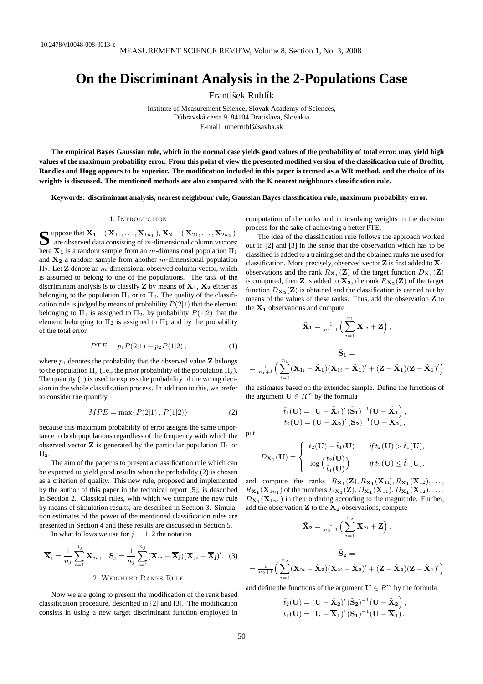# **On the Discriminant Analysis in the 2-Populations Case**

František Rublík

Institute of Measurement Science, Slovak Academy of Sciences, Dúbravská cesta 9, 84104 Bratislava, Slovakia E-mail: umerrubl@savba.sk

**The empirical Bayes Gaussian rule, which in the normal case yields good values of the probability of total error, may yield high values of the maximum probability error. From this point of view the presented modified version of the classification rule of Broffitt, Randles and Hogg appears to be superior. The modification included in this paper is termed as a WR method, and the choice of its weights is discussed. The mentioned methods are also compared with the K nearest neighbours classification rule.**

**Keywords: discriminant analysis, nearest neighbour rule, Gaussian Bayes classification rule, maximum probability error.**

### 1. Introduction

**S** uppose that  $X_1 = (X_{11},...,X_{1n_1}), X_2 = (X_{21},...,X_{2n_2})$ <br>are observed data consisting of *m*-dimensional column vectors are observed data consisting of  $m$ -dimensional column vectors; here  $X_1$  is a random sample from an m-dimensional population  $\Pi_1$ and  $X_2$  a random sample from another m-dimensional population  $\Pi_2$ . Let **Z** denote an *m*-dimensional observed column vector, which is assumed to belong to one of the populations. The task of the discriminant analysis is to classify **Z** by means of  $X_1$ ,  $X_2$  either as belonging to the population  $\Pi_1$  or to  $\Pi_2$ . The quality of the classification rule is judged by means of probability  $P(2|1)$  that the element belonging to  $\Pi_1$  is assigned to  $\Pi_2$ , by probability  $P(1|2)$  that the element belonging to  $\Pi_2$  is assigned to  $\Pi_1$  and by the probability of the total error

$$
PTE = p_1 P(2|1) + p_2 P(1|2), \tag{1}
$$

where  $p_i$  denotes the probability that the observed value **Z** belongs to the population  $\Pi_i$  (i.e., the prior probability of the population  $\Pi_i$ ). The quantity (1) is used to express the probability of the wrong decision in the whole classification process. In addition to this, we prefer to consider the quantity

$$
MPE = \max\{P(2|1), P(1|2)\}\tag{2}
$$

because this maximum probability of error assigns the same importance to both populations regardless of the frequency with which the observed vector **Z** is generated by the particular population  $\Pi_1$  or  $\Pi_2$ .

The aim of the paper is to present a classification rule which can be expected to yield good results when the probability (2) is chosen as a criterion of quality. This new rule, proposed and implemented by the author of this paper in the technical report [5], is described in Section 2. Classical rules, with which we compare the new rule by means of simulation results, are described in Section 3. Simulation estimates of the power of the mentioned classification rules are presented in Section 4 and these results are discussed in Section 5.

In what follows we use for  $j = 1, 2$  the notation

$$
\overline{\mathbf{X}}_{\mathbf{j}} = \frac{1}{n_j} \sum_{i=1}^{n_j} \mathbf{X}_{ji}, \quad \mathbf{S}_{\mathbf{j}} = \frac{1}{n_j} \sum_{i=1}^{n_j} (\mathbf{X}_{ji} - \overline{\mathbf{X}}_{\mathbf{j}}) (\mathbf{X}_{ji} - \overline{\mathbf{X}}_{\mathbf{j}})'.
$$
 (3)

Now we are going to present the modification of the rank based classification procedure, described in [2] and [3]. The modification consists in using a new target discriminant function employed in computation of the ranks and in involving weights in the decision process for the sake of achieving a better PTE.

The idea of the classification rule follows the approach worked out in [2] and [3] in the sense that the observation which has to be classified is added to a training set and the obtained ranks are used for classification. More precisely, observed vector  $Z$  is first added to  $X_1$ observations and the rank  $R_{\mathbf{X}_1}(\mathbf{Z})$  of the target function  $D_{\mathbf{X}_1}(\mathbf{Z})$ is computed, then **Z** is added to  $\mathbf{X_2}$ , the rank  $R_{\mathbf{X_2}}(\mathbf{Z})$  of the target function  $D_{\mathbf{X_2}}(\mathbf{Z})$  is obtained and the classification is carried out by means of the values of these ranks. Thus, add the observation Z to the  $X_1$  observations and compute

$$
\tilde{\mathbf{X}}_1 = \frac{1}{n_1+1} \Big( \sum_{i=1}^{n_1} \mathbf{X}_{1i} + \mathbf{Z} \Big),
$$

$$
\tilde{\mathbf{S}}_1 = \\ = \frac{1}{n_1+1} \Big( \sum_{i=1}^{n_1} (\mathbf{X}_{1i} - \tilde{\mathbf{X}}_1)(\mathbf{X}_{1i} - \tilde{\mathbf{X}}_1)' + (\mathbf{Z} - \tilde{\mathbf{X}}_1)(\mathbf{Z} - \tilde{\mathbf{X}}_1)'\Big)
$$

the estimates based on the extended sample. Define the functions of the argument  $\mathbf{U} \in \mathbb{R}^m$  by the formula

$$
\tilde{t}_1(\mathbf{U}) = (\mathbf{U} - \tilde{\mathbf{X}}_1)'(\tilde{\mathbf{S}}_1)^{-1}(\mathbf{U} - \tilde{\mathbf{X}}_1),
$$
  

$$
t_2(\mathbf{U}) = (\mathbf{U} - \overline{\mathbf{X}}_2)'(\mathbf{S}_2)^{-1}(\mathbf{U} - \overline{\mathbf{X}}_2),
$$

put

$$
D_{\mathbf{X}_1}(\mathbf{U}) = \begin{cases} t_2(\mathbf{U}) - \tilde{t}_1(\mathbf{U}) & \text{if } t_2(\mathbf{U}) > \tilde{t}_1(\mathbf{U}), \\ \log\left(\frac{t_2(\mathbf{U})}{\tilde{t}_1(\mathbf{U})}\right) & \text{if } t_2(\mathbf{U}) \le \tilde{t}_1(\mathbf{U}), \end{cases}
$$

and compute the ranks  $R_{\mathbf{X}_1}(\mathbf{Z}), R_{\mathbf{X}_1}(\mathbf{X}_{11}), R_{\mathbf{X}_1}(\mathbf{X}_{12}), \ldots$  $R_{\mathbf{X_1}}(\mathbf{X}_{1n_1})$  of the numbers  $D_{\mathbf{X_1}}(\mathbf{Z}), D_{\mathbf{X_1}}(\mathbf{X}_{11}), D_{\mathbf{X_1}}(\mathbf{X}_{12}), \ldots$  $D_{\mathbf{X_1}}(\mathbf{X}_{1n_1})$  in their ordering according to the magnitude. Further, add the observation  $Z$  to the  $X_2$  observations, compute

$$
\begin{aligned} \tilde{\mathbf{X}}_{\mathbf{2}} &= \tfrac{1}{n_2+1}\Big(\sum_{i=1}^{n_2}\mathbf{X}_{2i}+\mathbf{Z}\Big)\,,\\ \tilde{\mathbf{S}}_{\mathbf{2}} &= \\ \tfrac{1}{n_2+1}\Big(\sum_{i=1}^{n_2}(\mathbf{X}_{2i}-\tilde{\mathbf{X}}_{\mathbf{2}})(\mathbf{X}_{2i}-\tilde{\mathbf{X}}_{\mathbf{2}})'+(\mathbf{Z}-\tilde{\mathbf{X}}_{\mathbf{2}})(\mathbf{Z}-\tilde{\mathbf{X}}_{\mathbf{1}})'\Big) \end{aligned}
$$

and define the functions of the argument  $\mathbf{U} \in \mathbb{R}^m$  by the formula

 $\tilde{t}_2(\mathbf{U}) = (\mathbf{U} - \tilde{\mathbf{X}}_2)' \, (\tilde{\mathbf{S}}_2)^{-1} (\mathbf{U} - \tilde{\mathbf{X}}_2) \ ,$  $t_1(\mathbf{U}) = (\mathbf{U} - \overline{\mathbf{X}}_{\mathbf{1}})'(\mathbf{S}_{\mathbf{1}})^{-1}(\mathbf{U} - \overline{\mathbf{X}}_{\mathbf{1}})$  .

=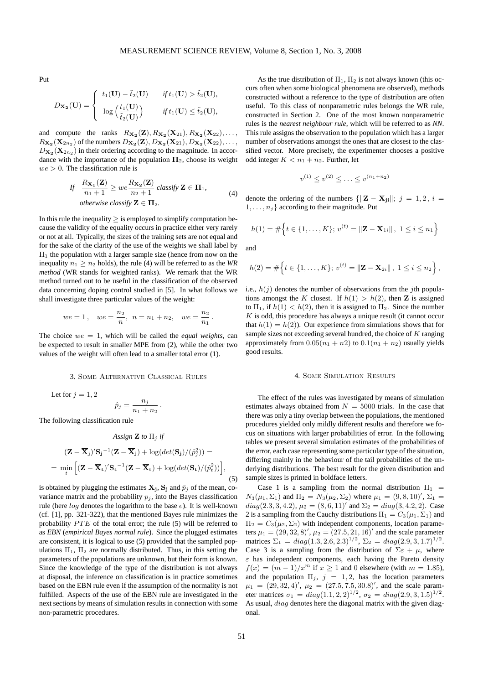Put

$$
D_{\mathbf{X_2}}(\mathbf{U}) = \begin{cases} t_1(\mathbf{U}) - \tilde{t}_2(\mathbf{U}) & \text{if } t_1(\mathbf{U}) > \tilde{t}_2(\mathbf{U}), \\ \log\left(\frac{t_1(\mathbf{U})}{\tilde{t}_2(\mathbf{U})}\right) & \text{if } t_1(\mathbf{U}) \le \tilde{t}_2(\mathbf{U}), \end{cases}
$$

and compute the ranks  $R_{\mathbf{X_2}}(\mathbf{Z}), R_{\mathbf{X_2}}(\mathbf{X}_{21}), R_{\mathbf{X_2}}(\mathbf{X}_{22}), \ldots$  $R_{\mathbf{X_2}}(\mathbf{X}_{2n_2})$  of the numbers  $D_{\mathbf{X_2}}(\mathbf{Z}), D_{\mathbf{X_2}}(\mathbf{X}_{21}), D_{\mathbf{X_2}}(\mathbf{X}_{22}), \ldots$  $D_{\mathbf{X_2}}(\mathbf{X}_{2n_2})$  in their ordering according to the magnitude. In accordance with the importance of the population  $\Pi_2$ , choose its weight  $we > 0$ . The classification rule is

If 
$$
\frac{R_{\mathbf{X}_1}(\mathbf{Z})}{n_1 + 1} \geq we \frac{R_{\mathbf{X}_2}(\mathbf{Z})}{n_2 + 1} \text{ classify } \mathbf{Z} \in \mathbf{\Pi}_1,
$$
  
otherwise classify  $\mathbf{Z} \in \mathbf{\Pi}_2.$  (4)

In this rule the inequality  $\geq$  is employed to simplify computation because the validity of the equality occurs in practice either very rarely or not at all. Typically, the sizes of the training sets are not equal and for the sake of the clarity of the use of the weights we shall label by  $\Pi_1$  the population with a larger sample size (hence from now on the inequality  $n_1 \geq n_2$  holds), the rule (4) will be referred to as the *WR method* (WR stands for weighted ranks). We remark that the WR method turned out to be useful in the classification of the observed data concerning doping control studied in [5]. In what follows we shall investigate three particular values of the weight:

$$
we = 1\,,\quad we = \frac{n_2}{n},\ \ n = n_1 + n_2,\quad we = \frac{n_2}{n_1}\,.
$$

The choice  $we = 1$ , which will be called the *equal weights*, can be expected to result in smaller MPE from (2), while the other two values of the weight will often lead to a smaller total error (1).

## 3. Some Alternative Classical Rules

Let for  $j = 1, 2$ 

$$
\hat{p}_j = \frac{n_j}{n_1 + n_2} \, .
$$

The following classification rule

$$
Assign \mathbf{Z} \text{ to } \Pi_j \text{ if}
$$

$$
(\mathbf{Z} - \overline{\mathbf{X}}_j)' \mathbf{S}_j^{-1} (\mathbf{Z} - \overline{\mathbf{X}}_j) + \log(det(\mathbf{S}_j) / (\hat{p}_j^2)) =
$$

$$
= \min_t \left[ (\mathbf{Z} - \overline{\mathbf{X}}_t)' \mathbf{S}_t^{-1} (\mathbf{Z} - \overline{\mathbf{X}}_t) + \log(det(\mathbf{S}_t) / (\hat{p}_t^2)) \right],
$$
(5)

is obtained by plugging the estimates  $\overline{\mathbf{X}}_j$ ,  $\mathbf{S}_j$  and  $\hat{p}_j$  of the mean, covariance matrix and the probability  $p_i$ , into the Bayes classification rule (here log denotes the logarithm to the base e). It is well-known (cf. [1], pp. 321-322), that the mentioned Bayes rule minimizes the probability  $PTE$  of the total error; the rule (5) will be referred to as *EBN* (*empirical Bayes normal rule*). Since the plugged estimates are consistent, it is logical to use (5) provided that the sampled populations  $\Pi_1$ ,  $\Pi_2$  are normally distributed. Thus, in this setting the parameters of the populations are unknown, but their form is known. Since the knowledge of the type of the distribution is not always at disposal, the inference on classification is in practice sometimes based on the EBN rule even if the assumption of the normality is not fulfilled. Aspects of the use of the EBN rule are investigated in the next sections by means of simulation results in connection with some non-parametric procedures.

As the true distribution of  $\Pi_1$ ,  $\Pi_2$  is not always known (this occurs often when some biological phenomena are observed), methods constructed without a reference to the type of distribution are often useful. To this class of nonparametric rules belongs the WR rule, constructed in Section 2. One of the most known nonparametric rules is the *nearest neighbour rule*, which will be referred to as *NN*. This rule assigns the observation to the population which has a larger number of observations amongst the ones that are closest to the classified vector. More precisely, the experimenter chooses a positive odd integer  $K < n_1 + n_2$ . Further, let

$$
v^{(1)} \le v^{(2)} \le \ldots \le v^{(n_1+n_2)}
$$

denote the ordering of the numbers  $\{||\mathbf{Z} - \mathbf{X}_{ji}||; j = 1, 2, i =$  $1, \ldots, n_j$  according to their magnitude. Put

$$
h(1) = #\Big\{t \in \{1, \ldots, K\}; v^{(t)} = \|\mathbf{Z} - \mathbf{X}_{1i}\|, 1 \leq i \leq n_1\Big\}
$$

and

$$
h(2) = #\Big\{t \in \{1, \ldots, K\};\, v^{(t)} = \|\mathbf{Z} - \mathbf{X}_{2i}\|, \, 1 \leq i \leq n_2\Big\}\,,
$$

i.e.,  $h(j)$  denotes the number of observations from the jth populations amongst the K closest. If  $h(1) > h(2)$ , then Z is assigned to  $\Pi_1$ , if  $h(1) < h(2)$ , then it is assigned to  $\Pi_2$ . Since the number  $K$  is odd, this procedure has always a unique result (it cannot occur that  $h(1) = h(2)$ . Our experience from simulations shows that for sample sizes not exceeding several hundred, the choice of  $K$  ranging approximately from  $0.05(n_1 + n_2)$  to  $0.1(n_1 + n_2)$  usually yields good results.

#### 4. Some Simulation Results

The effect of the rules was investigated by means of simulation estimates always obtained from  $N = 5000$  trials. In the case that there was only a tiny overlap between the populations, the mentioned procedures yielded only mildly different results and therefore we focus on situations with larger probabilities of error. In the following tables we present several simulation estimates of the probabilities of the error, each case representing some particular type of the situation, differing mainly in the behaviour of the tail probabilities of the underlying distributions. The best result for the given distribution and sample sizes is printed in boldface letters.

Case 1 is a sampling from the normal distribution  $\Pi_1$  =  $N_3(\mu_1, \Sigma_1)$  and  $\Pi_2 = N_3(\mu_2, \Sigma_2)$  where  $\mu_1 = (9, 8, 10)'$ ,  $\Sigma_1 =$  $diag(2.3, 3, 4.2), \mu_2 = (8, 6, 11)'$  and  $\Sigma_2 = diag(3, 4.2, 2)$ . Case 2 is a sampling from the Cauchy distributions  $\Pi_1 = C_3(\mu_1, \Sigma_1)$  and  $\Pi_2 = C_3(\mu_2, \Sigma_2)$  with independent components, location parameters  $\mu_1 = (29, 32, 8)'$ ,  $\mu_2 = (27.5, 21, 16)'$  and the scale parameter matrices  $\Sigma_1 = diag(1.3, 2.6, 2.3)^{1/2}$ ,  $\Sigma_2 = diag(2.9, 3, 1.7)^{1/2}$ . Case 3 is a sampling from the distribution of  $\Sigma \varepsilon + \mu$ , where  $\varepsilon$  has independent components, each having the Pareto density  $f(x) = (m-1)/x^m$  if  $x > 1$  and 0 elsewhere (with  $m = 1.85$ ). and the population  $\Pi_i$ ,  $j = 1, 2$ , has the location parameters  $\mu_1 = (29, 32, 4)'$ ,  $\mu_2 = (27.5, 7.5, 30.8)'$ , and the scale parameter matrices  $\sigma_1 = diag(1.1, 2, 2)^{1/2}$ ,  $\sigma_2 = diag(2.9, 3, 1.5)^{1/2}$ . As usual, diag denotes here the diagonal matrix with the given diagonal.